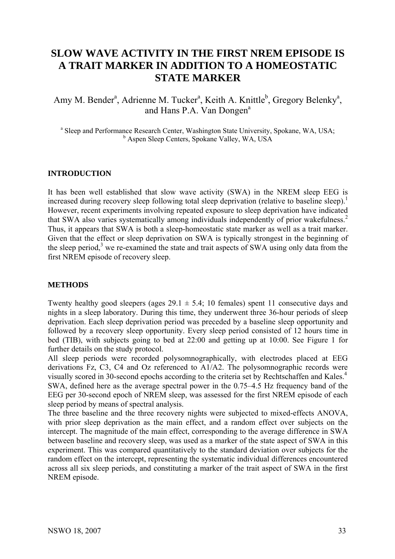# **SLOW WAVE ACTIVITY IN THE FIRST NREM EPISODE IS A TRAIT MARKER IN ADDITION TO A HOMEOSTATIC STATE MARKER**

Amy M. Bender<sup>a</sup>, Adrienne M. Tucker<sup>a</sup>, Keith A. Knittle<sup>b</sup>, Gregory Belenky<sup>a</sup>, and Hans P.A. Van Dongen<sup>a</sup>

<sup>a</sup> Sleep and Performance Research Center, Washington State University, Spokane, WA, USA; <sup>b</sup> Aspen Sleep Centers, Spokane Valley, WA, USA

## **INTRODUCTION**

It has been well established that slow wave activity (SWA) in the NREM sleep EEG is increased during recovery sleep following total sleep deprivation (relative to baseline sleep).<sup>1</sup> However, recent experiments involving repeated exposure to sleep deprivation have indicated that SWA also varies systematically among individuals independently of prior wakefulness.<sup>2</sup> Thus, it appears that SWA is both a sleep-homeostatic state marker as well as a trait marker. Given that the effect or sleep deprivation on SWA is typically strongest in the beginning of the sleep period,<sup>3</sup> we re-examined the state and trait aspects of SWA using only data from the first NREM episode of recovery sleep.

#### **METHODS**

Twenty healthy good sleepers (ages  $29.1 \pm 5.4$ ; 10 females) spent 11 consecutive days and nights in a sleep laboratory. During this time, they underwent three 36-hour periods of sleep deprivation. Each sleep deprivation period was preceded by a baseline sleep opportunity and followed by a recovery sleep opportunity. Every sleep period consisted of 12 hours time in bed (TIB), with subjects going to bed at 22:00 and getting up at 10:00. See Figure 1 for further details on the study protocol.

All sleep periods were recorded polysomnographically, with electrodes placed at EEG derivations Fz, C3, C4 and Oz referenced to A1/A2. The polysomnographic records were visually scored in 30-second epochs according to the criteria set by Rechtschaffen and Kales.4 SWA, defined here as the average spectral power in the 0.75–4.5 Hz frequency band of the EEG per 30-second epoch of NREM sleep, was assessed for the first NREM episode of each sleep period by means of spectral analysis.

The three baseline and the three recovery nights were subjected to mixed-effects ANOVA, with prior sleep deprivation as the main effect, and a random effect over subjects on the intercept. The magnitude of the main effect, corresponding to the average difference in SWA between baseline and recovery sleep, was used as a marker of the state aspect of SWA in this experiment. This was compared quantitatively to the standard deviation over subjects for the random effect on the intercept, representing the systematic individual differences encountered across all six sleep periods, and constituting a marker of the trait aspect of SWA in the first NREM episode.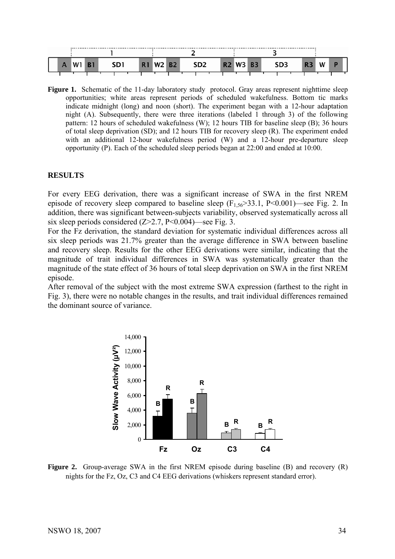

**Figure 1.** Schematic of the 11-day laboratory study protocol. Gray areas represent nighttime sleep opportunities; white areas represent periods of scheduled wakefulness. Bottom tic marks indicate midnight (long) and noon (short). The experiment began with a 12-hour adaptation night (A). Subsequently, there were three iterations (labeled 1 through 3) of the following pattern: 12 hours of scheduled wakefulness (W); 12 hours TIB for baseline sleep (B); 36 hours of total sleep deprivation (SD); and 12 hours TIB for recovery sleep (R). The experiment ended with an additional 12-hour wakefulness period (W) and a 12-hour pre-departure sleep opportunity (P). Each of the scheduled sleep periods began at 22:00 and ended at 10:00.

# **RESULTS**

For every EEG derivation, there was a significant increase of SWA in the first NREM episode of recovery sleep compared to baseline sleep  $(F_{1,56} > 33.1, P < 0.001)$ —see Fig. 2. In addition, there was significant between-subjects variability, observed systematically across all six sleep periods considered  $(Z>2.7, P<0.004)$ —see Fig. 3.

For the Fz derivation, the standard deviation for systematic individual differences across all six sleep periods was 21.7% greater than the average difference in SWA between baseline and recovery sleep. Results for the other EEG derivations were similar, indicating that the magnitude of trait individual differences in SWA was systematically greater than the magnitude of the state effect of 36 hours of total sleep deprivation on SWA in the first NREM episode.

After removal of the subject with the most extreme SWA expression (farthest to the right in Fig. 3), there were no notable changes in the results, and trait individual differences remained the dominant source of variance.



**Figure 2.** Group-average SWA in the first NREM episode during baseline (B) and recovery (R) nights for the Fz, Oz, C3 and C4 EEG derivations (whiskers represent standard error).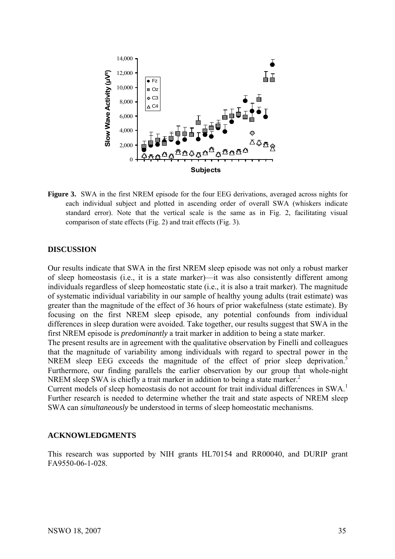

**Figure 3.** SWA in the first NREM episode for the four EEG derivations, averaged across nights for each individual subject and plotted in ascending order of overall SWA (whiskers indicate standard error). Note that the vertical scale is the same as in Fig. 2, facilitating visual comparison of state effects (Fig. 2) and trait effects (Fig. 3).

## **DISCUSSION**

Our results indicate that SWA in the first NREM sleep episode was not only a robust marker of sleep homeostasis (i.e., it is a state marker)—it was also consistently different among individuals regardless of sleep homeostatic state (i.e., it is also a trait marker). The magnitude of systematic individual variability in our sample of healthy young adults (trait estimate) was greater than the magnitude of the effect of 36 hours of prior wakefulness (state estimate). By focusing on the first NREM sleep episode, any potential confounds from individual differences in sleep duration were avoided. Take together, our results suggest that SWA in the first NREM episode is *predominantly* a trait marker in addition to being a state marker.

The present results are in agreement with the qualitative observation by Finelli and colleagues that the magnitude of variability among individuals with regard to spectral power in the NREM sleep EEG exceeds the magnitude of the effect of prior sleep deprivation.<sup>5</sup> Furthermore, our finding parallels the earlier observation by our group that whole-night NREM sleep SWA is chiefly a trait marker in addition to being a state marker.<sup>2</sup>

Current models of sleep homeostasis do not account for trait individual differences in  $SWA<sup>1</sup>$ Further research is needed to determine whether the trait and state aspects of NREM sleep SWA can *simultaneously* be understood in terms of sleep homeostatic mechanisms.

#### **ACKNOWLEDGMENTS**

This research was supported by NIH grants HL70154 and RR00040, and DURIP grant FA9550-06-1-028.